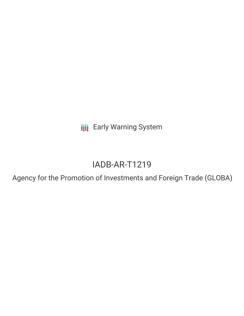**III** Early Warning System

# IADB-AR-T1219

Agency for the Promotion of Investments and Foreign Trade (GLOBA)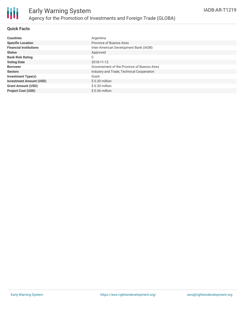

## **Quick Facts**

| <b>Countries</b>               | Argentina                                   |
|--------------------------------|---------------------------------------------|
| <b>Specific Location</b>       | Province of Buenos Aires                    |
| <b>Financial Institutions</b>  | Inter-American Development Bank (IADB)      |
| <b>Status</b>                  | Approved                                    |
| <b>Bank Risk Rating</b>        | С                                           |
| <b>Voting Date</b>             | 2018-11-12                                  |
| <b>Borrower</b>                | Governement of the Province of Buenos Aires |
| <b>Sectors</b>                 | Industry and Trade, Technical Cooperation   |
| Investment Type(s)             | Grant                                       |
| <b>Investment Amount (USD)</b> | $$0.30$ million                             |
| <b>Grant Amount (USD)</b>      | $$0.30$ million                             |
| <b>Project Cost (USD)</b>      | $$0.36$ million                             |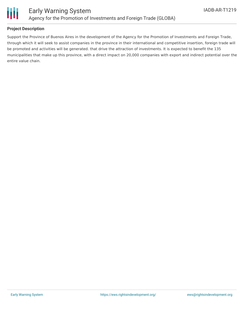

# **Project Description**

Support the Province of Buenos Aires in the development of the Agency for the Promotion of Investments and Foreign Trade, through which it will seek to assist companies in the province in their international and competitive insertion, foreign trade will be promoted and activities will be generated. that drive the attraction of investments. It is expected to benefit the 135 municipalities that make up this province, with a direct impact on 20,000 companies with export and indirect potential over the entire value chain.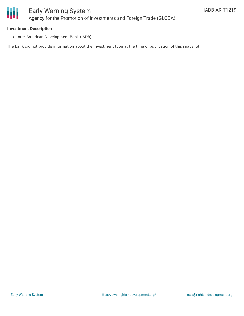

#### **Investment Description**

• Inter-American Development Bank (IADB)

The bank did not provide information about the investment type at the time of publication of this snapshot.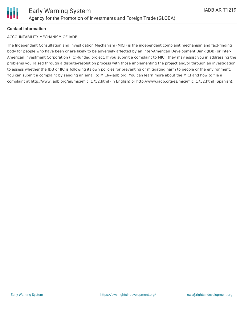## **Contact Information**

### ACCOUNTABILITY MECHANISM OF IADB

The Independent Consultation and Investigation Mechanism (MICI) is the independent complaint mechanism and fact-finding body for people who have been or are likely to be adversely affected by an Inter-American Development Bank (IDB) or Inter-American Investment Corporation (IIC)-funded project. If you submit a complaint to MICI, they may assist you in addressing the problems you raised through a dispute-resolution process with those implementing the project and/or through an investigation to assess whether the IDB or IIC is following its own policies for preventing or mitigating harm to people or the environment. You can submit a complaint by sending an email to MICI@iadb.org. You can learn more about the MICI and how to file a complaint at http://www.iadb.org/en/mici/mici,1752.html (in English) or http://www.iadb.org/es/mici/mici,1752.html (Spanish).